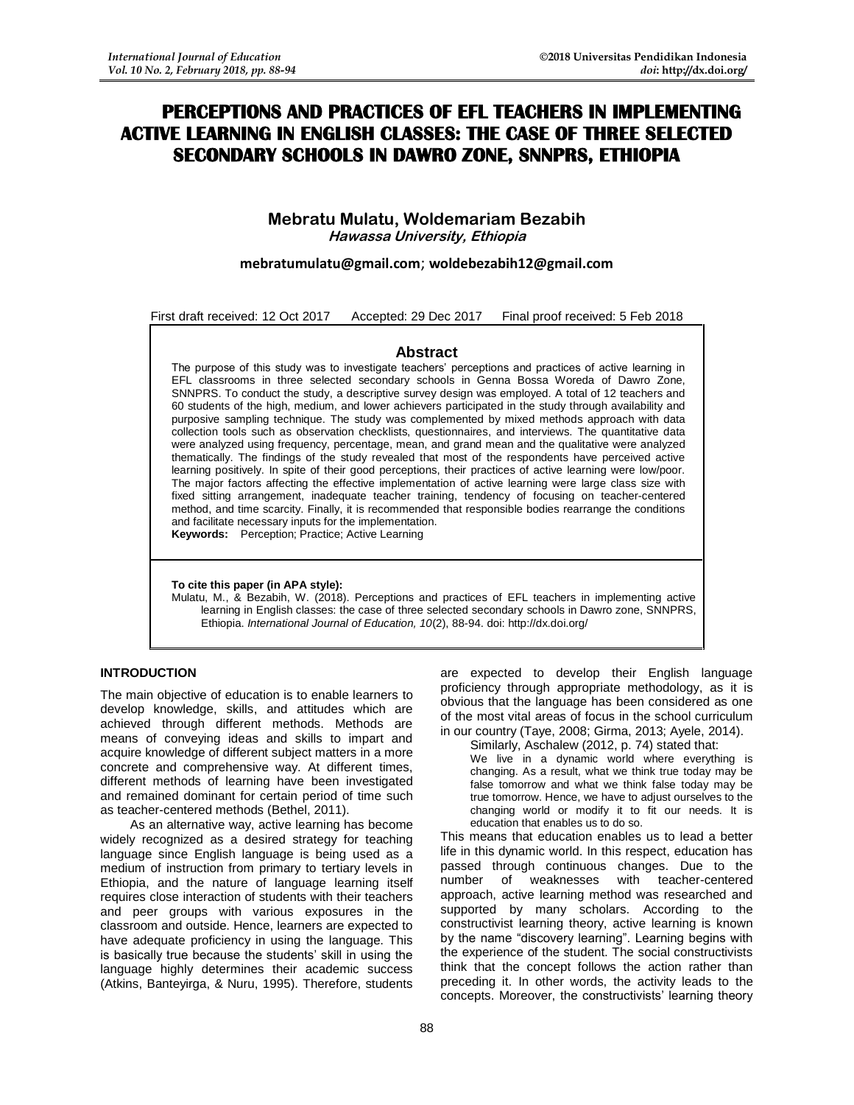# **PERCEPTIONS AND PRACTICES OF EFL TEACHERS IN IMPLEMENTING ACTIVE LEARNING IN ENGLISH CLASSES: THE CASE OF THREE SELECTED SECONDARY SCHOOLS IN DAWRO ZONE, SNNPRS, ETHIOPIA**

# **Mebratu Mulatu, Woldemariam Bezabih Hawassa University, Ethiopia**

## **[mebratumulatu@gmail.com](mailto:mebratumulatu@gmail.com)**; **[woldebezabih12@gmail.com](mailto:woldebezabih12@gmail.com)**

First draft received: 12 Oct 2017 Accepted: 29 Dec 2017 Final proof received: 5 Feb 2018

### **Abstract**

The purpose of this study was to investigate teachers' perceptions and practices of active learning in EFL classrooms in three selected secondary schools in Genna Bossa Woreda of Dawro Zone, SNNPRS. To conduct the study, a descriptive survey design was employed. A total of 12 teachers and 60 students of the high, medium, and lower achievers participated in the study through availability and purposive sampling technique. The study was complemented by mixed methods approach with data collection tools such as observation checklists, questionnaires, and interviews. The quantitative data were analyzed using frequency, percentage, mean, and grand mean and the qualitative were analyzed thematically. The findings of the study revealed that most of the respondents have perceived active learning positively. In spite of their good perceptions, their practices of active learning were low/poor. The major factors affecting the effective implementation of active learning were large class size with fixed sitting arrangement, inadequate teacher training, tendency of focusing on teacher-centered method, and time scarcity. Finally, it is recommended that responsible bodies rearrange the conditions and facilitate necessary inputs for the implementation.

**Keywords:** Perception; Practice; Active Learning

**To cite this paper (in APA style):**

Mulatu, M., & Bezabih, W. (2018). Perceptions and practices of EFL teachers in implementing active learning in English classes: the case of three selected secondary schools in Dawro zone, SNNPRS, Ethiopia. *International Journal of Education, 10*(2), 88-94. doi: http://dx.doi.org/

#### **INTRODUCTION**

The main objective of education is to enable learners to develop knowledge, skills, and attitudes which are achieved through different methods. Methods are means of conveying ideas and skills to impart and acquire knowledge of different subject matters in a more concrete and comprehensive way. At different times, different methods of learning have been investigated and remained dominant for certain period of time such as teacher-centered methods (Bethel, 2011).

As an alternative way, active learning has become widely recognized as a desired strategy for teaching language since English language is being used as a medium of instruction from primary to tertiary levels in Ethiopia, and the nature of language learning itself requires close interaction of students with their teachers and peer groups with various exposures in the classroom and outside. Hence, learners are expected to have adequate proficiency in using the language. This is basically true because the students' skill in using the language highly determines their academic success (Atkins, Banteyirga, & Nuru, 1995). Therefore, students

are expected to develop their English language proficiency through appropriate methodology, as it is obvious that the language has been considered as one of the most vital areas of focus in the school curriculum in our country (Taye, 2008; Girma, 2013; Ayele, 2014).

Similarly, Aschalew (2012, p. 74) stated that:

We live in a dynamic world where everything is changing. As a result, what we think true today may be false tomorrow and what we think false today may be true tomorrow. Hence, we have to adjust ourselves to the changing world or modify it to fit our needs. It is education that enables us to do so.

This means that education enables us to lead a better life in this dynamic world. In this respect, education has passed through continuous changes. Due to the number of weaknesses with teacher-centered approach, active learning method was researched and supported by many scholars. According to the constructivist learning theory, active learning is known by the name "discovery learning". Learning begins with the experience of the student. The social constructivists think that the concept follows the action rather than preceding it. In other words, the activity leads to the concepts. Moreover, the constructivists' learning theory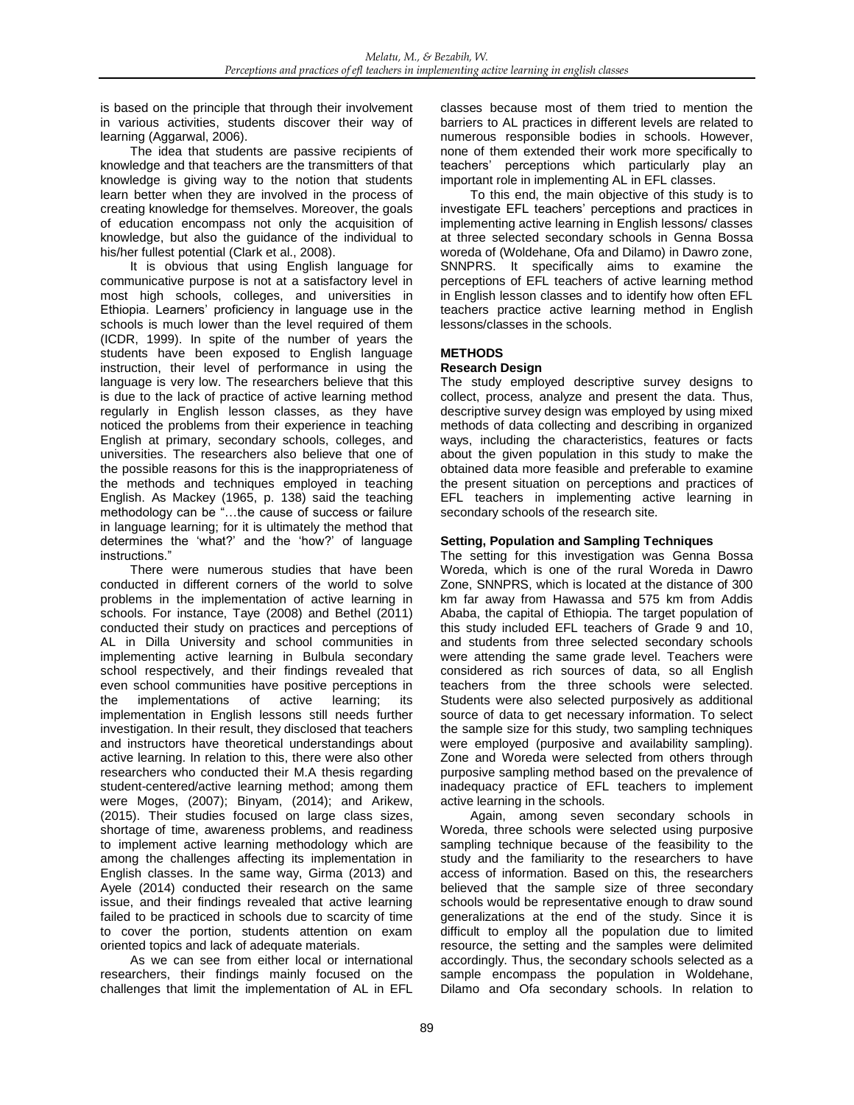is based on the principle that through their involvement in various activities, students discover their way of learning (Aggarwal, 2006).

The idea that students are passive recipients of knowledge and that teachers are the transmitters of that knowledge is giving way to the notion that students learn better when they are involved in the process of creating knowledge for themselves. Moreover, the goals of education encompass not only the acquisition of knowledge, but also the guidance of the individual to his/her fullest potential (Clark et al., 2008).

It is obvious that using English language for communicative purpose is not at a satisfactory level in most high schools, colleges, and universities in Ethiopia. Learners' proficiency in language use in the schools is much lower than the level required of them (ICDR, 1999). In spite of the number of years the students have been exposed to English language instruction, their level of performance in using the language is very low. The researchers believe that this is due to the lack of practice of active learning method regularly in English lesson classes, as they have noticed the problems from their experience in teaching English at primary, secondary schools, colleges, and universities. The researchers also believe that one of the possible reasons for this is the inappropriateness of the methods and techniques employed in teaching English. As Mackey (1965, p. 138) said the teaching methodology can be "…the cause of success or failure in language learning; for it is ultimately the method that determines the 'what?' and the 'how?' of language instructions."

There were numerous studies that have been conducted in different corners of the world to solve problems in the implementation of active learning in schools. For instance, Taye (2008) and Bethel (2011) conducted their study on practices and perceptions of AL in Dilla University and school communities in implementing active learning in Bulbula secondary school respectively, and their findings revealed that even school communities have positive perceptions in the implementations of active learning; its implementation in English lessons still needs further investigation. In their result, they disclosed that teachers and instructors have theoretical understandings about active learning. In relation to this, there were also other researchers who conducted their M.A thesis regarding student-centered/active learning method; among them were Moges, (2007); Binyam, (2014); and Arikew, (2015). Their studies focused on large class sizes, shortage of time, awareness problems, and readiness to implement active learning methodology which are among the challenges affecting its implementation in English classes. In the same way, Girma (2013) and Ayele (2014) conducted their research on the same issue, and their findings revealed that active learning failed to be practiced in schools due to scarcity of time to cover the portion, students attention on exam oriented topics and lack of adequate materials.

As we can see from either local or international researchers, their findings mainly focused on the challenges that limit the implementation of AL in EFL classes because most of them tried to mention the barriers to AL practices in different levels are related to numerous responsible bodies in schools. However, none of them extended their work more specifically to teachers' perceptions which particularly play an important role in implementing AL in EFL classes.

To this end, the main objective of this study is to investigate EFL teachers' perceptions and practices in implementing active learning in English lessons/ classes at three selected secondary schools in Genna Bossa woreda of (Woldehane, Ofa and Dilamo) in Dawro zone, SNNPRS. It specifically aims to examine the perceptions of EFL teachers of active learning method in English lesson classes and to identify how often EFL teachers practice active learning method in English lessons/classes in the schools.

# **METHODS**

### **Research Design**

The study employed descriptive survey designs to collect, process, analyze and present the data. Thus, descriptive survey design was employed by using mixed methods of data collecting and describing in organized ways, including the characteristics, features or facts about the given population in this study to make the obtained data more feasible and preferable to examine the present situation on perceptions and practices of EFL teachers in implementing active learning in secondary schools of the research site.

#### **Setting, Population and Sampling Techniques**

The setting for this investigation was Genna Bossa Woreda, which is one of the rural Woreda in Dawro Zone, SNNPRS, which is located at the distance of 300 km far away from Hawassa and 575 km from Addis Ababa, the capital of Ethiopia. The target population of this study included EFL teachers of Grade 9 and 10, and students from three selected secondary schools were attending the same grade level. Teachers were considered as rich sources of data, so all English teachers from the three schools were selected. Students were also selected purposively as additional source of data to get necessary information. To select the sample size for this study, two sampling techniques were employed (purposive and availability sampling). Zone and Woreda were selected from others through purposive sampling method based on the prevalence of inadequacy practice of EFL teachers to implement active learning in the schools.

Again, among seven secondary schools in Woreda, three schools were selected using purposive sampling technique because of the feasibility to the study and the familiarity to the researchers to have access of information. Based on this, the researchers believed that the sample size of three secondary schools would be representative enough to draw sound generalizations at the end of the study. Since it is difficult to employ all the population due to limited resource, the setting and the samples were delimited accordingly. Thus, the secondary schools selected as a sample encompass the population in Woldehane, Dilamo and Ofa secondary schools. In relation to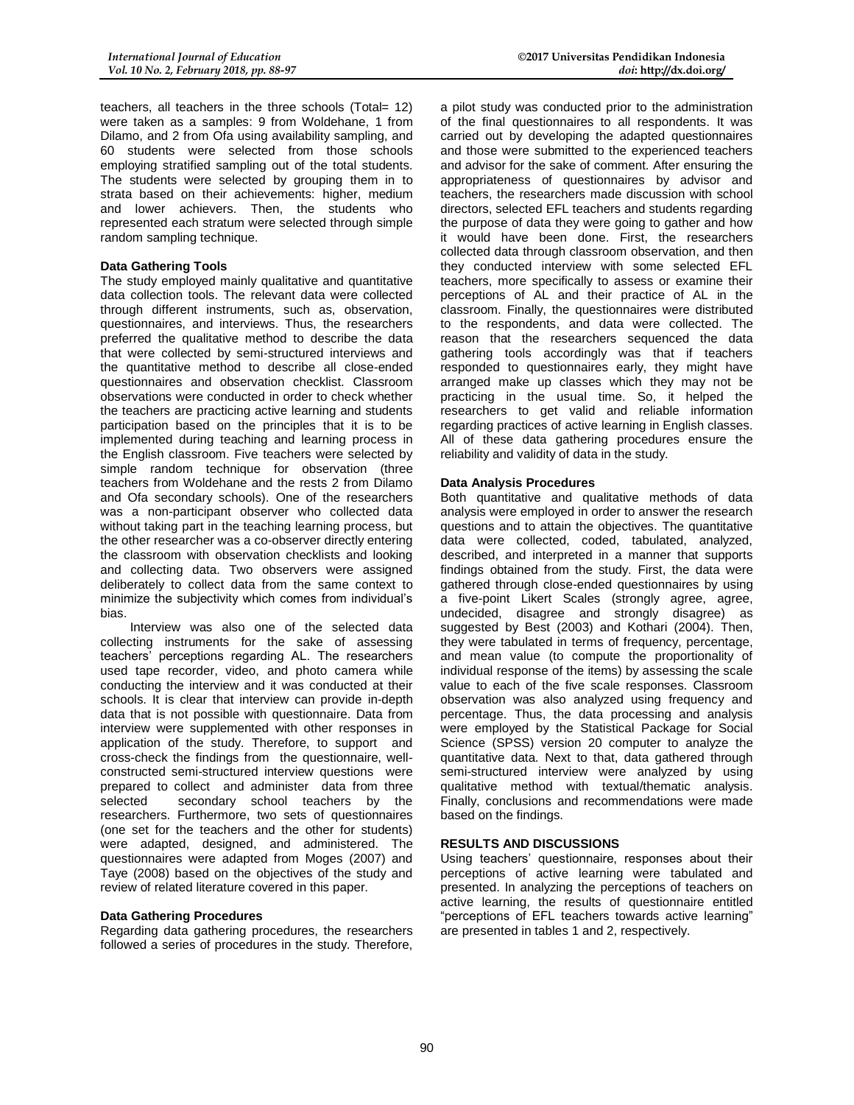teachers, all teachers in the three schools (Total= 12) were taken as a samples: 9 from Woldehane, 1 from Dilamo, and 2 from Ofa using availability sampling, and 60 students were selected from those schools employing stratified sampling out of the total students. The students were selected by grouping them in to strata based on their achievements: higher, medium and lower achievers. Then, the students who represented each stratum were selected through simple random sampling technique.

#### **Data Gathering Tools**

The study employed mainly qualitative and quantitative data collection tools. The relevant data were collected through different instruments, such as, observation, questionnaires, and interviews. Thus, the researchers preferred the qualitative method to describe the data that were collected by semi-structured interviews and the quantitative method to describe all close-ended questionnaires and observation checklist. Classroom observations were conducted in order to check whether the teachers are practicing active learning and students participation based on the principles that it is to be implemented during teaching and learning process in the English classroom. Five teachers were selected by simple random technique for observation (three teachers from Woldehane and the rests 2 from Dilamo and Ofa secondary schools). One of the researchers was a non-participant observer who collected data without taking part in the teaching learning process, but the other researcher was a co-observer directly entering the classroom with observation checklists and looking and collecting data. Two observers were assigned deliberately to collect data from the same context to minimize the subjectivity which comes from individual's bias.

Interview was also one of the selected data collecting instruments for the sake of assessing teachers' perceptions regarding AL. The researchers used tape recorder, video, and photo camera while conducting the interview and it was conducted at their schools. It is clear that interview can provide in-depth data that is not possible with questionnaire. Data from interview were supplemented with other responses in application of the study. Therefore, to support and cross-check the findings from the questionnaire, wellconstructed semi-structured interview questions were prepared to collect and administer data from three selected secondary school teachers by the researchers. Furthermore, two sets of questionnaires (one set for the teachers and the other for students) were adapted, designed, and administered. The questionnaires were adapted from Moges (2007) and Taye (2008) based on the objectives of the study and review of related literature covered in this paper.

#### **Data Gathering Procedures**

Regarding data gathering procedures, the researchers followed a series of procedures in the study. Therefore,

a pilot study was conducted prior to the administration of the final questionnaires to all respondents. It was carried out by developing the adapted questionnaires and those were submitted to the experienced teachers and advisor for the sake of comment. After ensuring the appropriateness of questionnaires by advisor and teachers, the researchers made discussion with school directors, selected EFL teachers and students regarding the purpose of data they were going to gather and how it would have been done. First, the researchers collected data through classroom observation, and then they conducted interview with some selected EFL teachers, more specifically to assess or examine their perceptions of AL and their practice of AL in the classroom. Finally, the questionnaires were distributed to the respondents, and data were collected. The reason that the researchers sequenced the data gathering tools accordingly was that if teachers responded to questionnaires early, they might have arranged make up classes which they may not be practicing in the usual time. So, it helped the researchers to get valid and reliable information regarding practices of active learning in English classes. All of these data gathering procedures ensure the reliability and validity of data in the study.

# **Data Analysis Procedures**

Both quantitative and qualitative methods of data analysis were employed in order to answer the research questions and to attain the objectives. The quantitative data were collected, coded, tabulated, analyzed, described, and interpreted in a manner that supports findings obtained from the study. First, the data were gathered through close-ended questionnaires by using a five-point Likert Scales (strongly agree, agree, undecided, disagree and strongly disagree) as suggested by Best (2003) and Kothari (2004). Then, they were tabulated in terms of frequency, percentage, and mean value (to compute the proportionality of individual response of the items) by assessing the scale value to each of the five scale responses. Classroom observation was also analyzed using frequency and percentage. Thus, the data processing and analysis were employed by the Statistical Package for Social Science (SPSS) version 20 computer to analyze the quantitative data. Next to that, data gathered through semi-structured interview were analyzed by using qualitative method with textual/thematic analysis. Finally, conclusions and recommendations were made based on the findings.

# **RESULTS AND DISCUSSIONS**

Using teachers' questionnaire, responses about their perceptions of active learning were tabulated and presented. In analyzing the perceptions of teachers on active learning, the results of questionnaire entitled "perceptions of EFL teachers towards active learning" are presented in tables 1 and 2, respectively.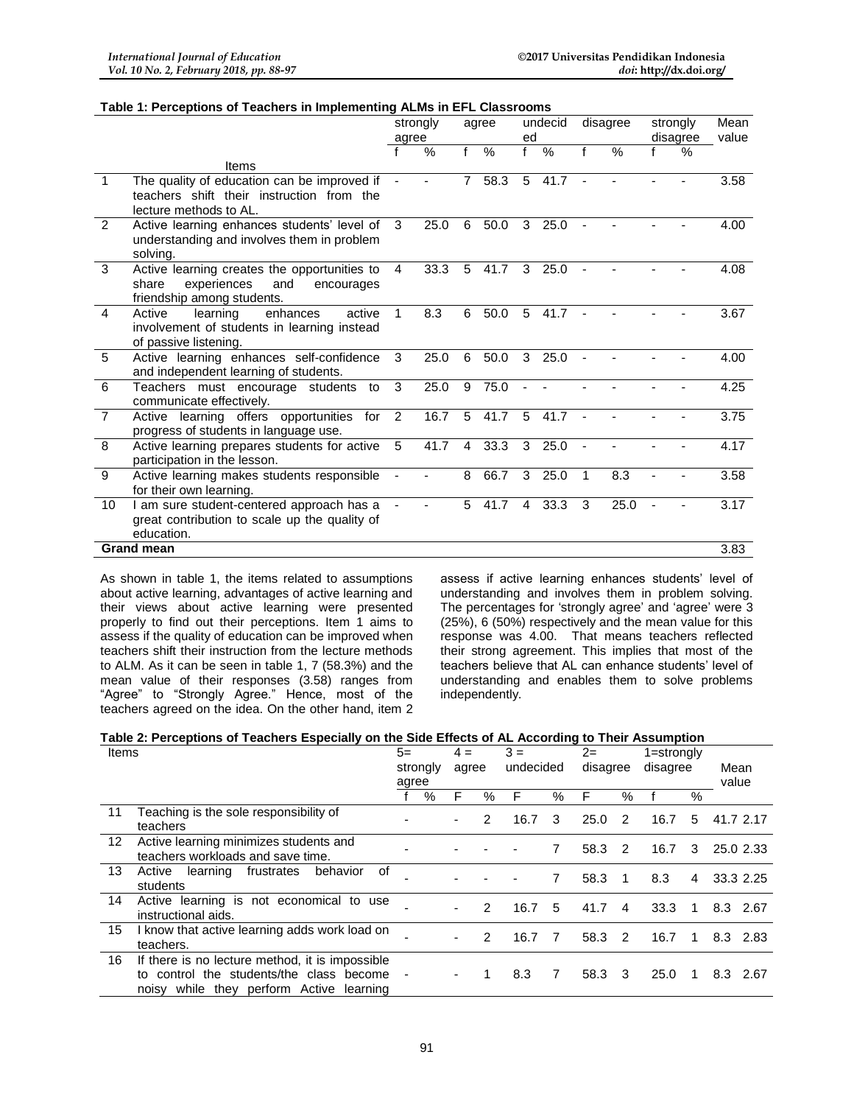#### **Table 1: Perceptions of Teachers in Implementing ALMs in EFL Classrooms**

|                      |                                                                                                                         | strongly<br>agree |      |   | agree         |                | undecid | disagree |      | strongly |      | Mean  |
|----------------------|-------------------------------------------------------------------------------------------------------------------------|-------------------|------|---|---------------|----------------|---------|----------|------|----------|------|-------|
|                      |                                                                                                                         |                   |      |   |               | ed             |         |          |      | disagree |      | value |
|                      |                                                                                                                         |                   | $\%$ | f | $\frac{0}{0}$ | $\mathbf{f}$   | $\%$    | f        | %    |          | $\%$ |       |
|                      | Items                                                                                                                   |                   |      |   |               |                |         |          |      |          |      |       |
| $\blacktriangleleft$ | The quality of education can be improved if<br>teachers shift their instruction from the                                |                   |      | 7 | 58.3          | 5              | 41.7    |          |      |          |      | 3.58  |
|                      | lecture methods to AL.                                                                                                  |                   |      |   |               |                |         |          |      |          |      |       |
| $\mathcal{P}$        | Active learning enhances students' level of<br>understanding and involves them in problem<br>solving.                   | 3                 | 25.0 | 6 | 50.0          | 3              | 25.0    |          |      |          |      | 4.00  |
| 3                    | Active learning creates the opportunities to<br>experiences<br>share<br>and<br>encourages<br>friendship among students. | 4                 | 33.3 | 5 | 41.7          | 3              | 25.0    |          |      |          |      | 4.08  |
| $\overline{4}$       | Active<br>learning<br>enhances<br>active<br>involvement of students in learning instead<br>of passive listening.        | 1                 | 8.3  | 6 | 50.0          | 5              | 41.7    |          |      |          |      | 3.67  |
| 5                    | Active learning enhances self-confidence<br>and independent learning of students.                                       | 3                 | 25.0 | 6 | 50.0          | 3              | 25.0    |          |      |          |      | 4.00  |
| 6                    | Teachers must encourage students to<br>communicate effectively.                                                         | 3                 | 25.0 | 9 | 75.0          |                |         |          |      |          |      | 4.25  |
| $\overline{7}$       | Active learning offers opportunities for<br>progress of students in language use.                                       | $\overline{2}$    | 16.7 | 5 | 41.7          | 5              | 41.7    |          |      |          |      | 3.75  |
| 8                    | Active learning prepares students for active<br>participation in the lesson.                                            | 5                 | 41.7 | 4 | 33.3          | 3              | 25.0    | ä,       |      |          |      | 4.17  |
| 9                    | Active learning makes students responsible<br>for their own learning.                                                   |                   |      | 8 | 66.7          | 3              | 25.0    | 1        | 8.3  |          |      | 3.58  |
| 10                   | I am sure student-centered approach has a<br>great contribution to scale up the quality of<br>education.                |                   |      | 5 | 41.7          | $\overline{4}$ | 33.3    | 3        | 25.0 |          |      | 3.17  |
|                      | <b>Grand mean</b>                                                                                                       |                   |      |   |               |                |         |          |      |          |      | 3.83  |

As shown in table 1, the items related to assumptions about active learning, advantages of active learning and their views about active learning were presented properly to find out their perceptions. Item 1 aims to assess if the quality of education can be improved when teachers shift their instruction from the lecture methods to ALM. As it can be seen in table 1, 7 (58.3%) and the mean value of their responses (3.58) ranges from "Agree" to "Strongly Agree." Hence, most of the teachers agreed on the idea. On the other hand, item 2

assess if active learning enhances students' level of understanding and involves them in problem solving. The percentages for 'strongly agree' and 'agree' were 3 (25%), 6 (50%) respectively and the mean value for this response was 4.00. That means teachers reflected their strong agreement. This implies that most of the teachers believe that AL can enhance students' level of understanding and enables them to solve problems independently.

#### **Table 2: Perceptions of Teachers Especially on the Side Effects of AL According to Their Assumption**

| Items |                                                                                                                                            | $5=$<br>$4 =$<br>strongly<br>agree<br>agree |   | $3 =$<br>undecided |      | $2 =$<br>disagree |   | 1=strongly<br>disagree |               | Mean<br>value |      |              |
|-------|--------------------------------------------------------------------------------------------------------------------------------------------|---------------------------------------------|---|--------------------|------|-------------------|---|------------------------|---------------|---------------|------|--------------|
|       |                                                                                                                                            |                                             | % | F                  | $\%$ | F                 | % | F                      | %             |               | $\%$ |              |
| 11    | Teaching is the sole responsibility of<br>teachers                                                                                         |                                             |   |                    | 2    | 16.7              | 3 | 25.0                   | 2             | 16.7          | 5    | 41.7 2.17    |
| 12    | Active learning minimizes students and<br>teachers workloads and save time.                                                                |                                             |   |                    |      |                   | 7 | 58.3                   | $\mathcal{P}$ | 16.7          | 3    | 25.0 2.33    |
| 13    | of<br>frustrates<br>behavior<br>learning<br>Active<br>students                                                                             |                                             |   |                    |      |                   | 7 | 58.3                   | 1             | 8.3           | 4    | 33.3 2.25    |
| 14    | Active learning is not economical to use<br>instructional aids.                                                                            |                                             |   |                    | 2    | 16.7              | 5 | 41.7                   | 4             | 33.3          | 1    | 8.3<br>-2.67 |
| 15    | I know that active learning adds work load on<br>teachers.                                                                                 |                                             |   |                    | 2    | 16.7              | 7 | 58.3                   | 2             | 16.7          | 1    | 8.3 2.83     |
| 16    | If there is no lecture method, it is impossible<br>to control the students/the class become<br>noisy while they perform Active<br>learning |                                             |   |                    |      | 8.3               | 7 | 58.3                   | 3             | 25.0          |      | 8.3 2.67     |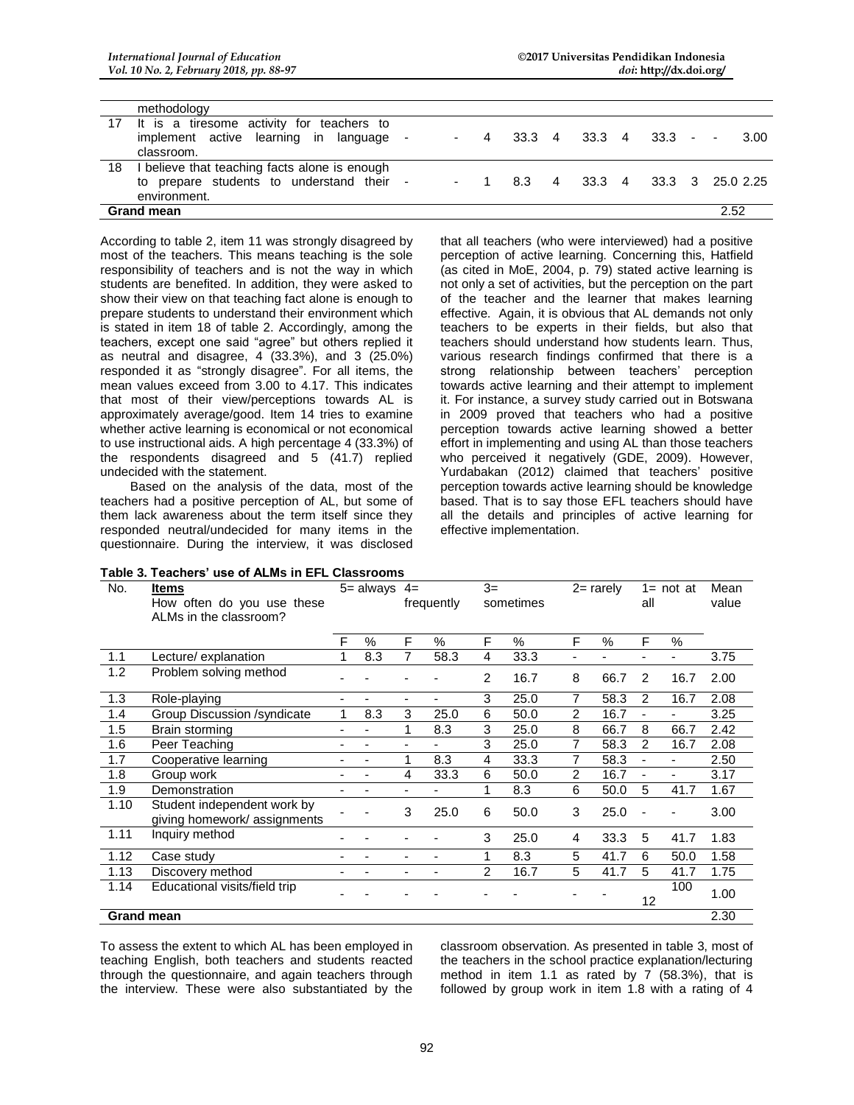|                   | methodology                                                                                              |  |  |  |        |  |          |      |            |                  |
|-------------------|----------------------------------------------------------------------------------------------------------|--|--|--|--------|--|----------|------|------------|------------------|
|                   | 17 It is a tiresome activity for teachers to<br>implement active learning in language<br>classroom.      |  |  |  | 33.3 4 |  | 33.3 4   |      | $33.3 - -$ | 3.00             |
| 18                | I believe that teaching facts alone is enough<br>to prepare students to understand their<br>environment. |  |  |  | 8.3    |  | 4 33.3 4 |      |            | 33.3 3 25.0 2.25 |
| <b>Grand mean</b> |                                                                                                          |  |  |  |        |  |          | 2.52 |            |                  |

According to table 2, item 11 was strongly disagreed by most of the teachers. This means teaching is the sole responsibility of teachers and is not the way in which students are benefited. In addition, they were asked to show their view on that teaching fact alone is enough to prepare students to understand their environment which is stated in item 18 of table 2. Accordingly, among the teachers, except one said "agree" but others replied it as neutral and disagree, 4 (33.3%), and 3 (25.0%) responded it as "strongly disagree". For all items, the mean values exceed from 3.00 to 4.17. This indicates that most of their view/perceptions towards AL is approximately average/good. Item 14 tries to examine whether active learning is economical or not economical to use instructional aids. A high percentage 4 (33.3%) of the respondents disagreed and 5 (41.7) replied undecided with the statement.

Based on the analysis of the data, most of the teachers had a positive perception of AL, but some of them lack awareness about the term itself since they responded neutral/undecided for many items in the questionnaire. During the interview, it was disclosed that all teachers (who were interviewed) had a positive perception of active learning. Concerning this, Hatfield (as cited in MoE, 2004, p. 79) stated active learning is not only a set of activities, but the perception on the part of the teacher and the learner that makes learning effective. Again, it is obvious that AL demands not only teachers to be experts in their fields, but also that teachers should understand how students learn. Thus, various research findings confirmed that there is a strong relationship between teachers' perception towards active learning and their attempt to implement it. For instance, a survey study carried out in Botswana in 2009 proved that teachers who had a positive perception towards active learning showed a better effort in implementing and using AL than those teachers who perceived it negatively (GDE, 2009). However, Yurdabakan (2012) claimed that teachers' positive perception towards active learning should be knowledge based. That is to say those EFL teachers should have all the details and principles of active learning for effective implementation.

| No.  | <b>Items</b><br>How often do you use these<br>ALMs in the classroom? |   | $5 =$ always | $4=$           | frequently     | $3=$<br>sometimes |               | $2 =$ rarely   |               | $1 = not at$<br>all      |                          | Mean<br>value |
|------|----------------------------------------------------------------------|---|--------------|----------------|----------------|-------------------|---------------|----------------|---------------|--------------------------|--------------------------|---------------|
|      |                                                                      | F | %            | F              | $\frac{0}{0}$  | F                 | $\frac{0}{0}$ | F              | $\frac{0}{0}$ | F                        | $\%$                     |               |
| 1.1  | Lecture/ explanation                                                 |   | 8.3          | 7              | 58.3           | 4                 | 33.3          | ٠              |               | ٠                        | ٠                        | 3.75          |
| 1.2  | Problem solving method                                               |   |              |                |                | 2                 | 16.7          | 8              | 66.7          | $\overline{2}$           | 16.7                     | 2.00          |
| 1.3  | Role-playing                                                         |   |              | $\blacksquare$ | ٠              | 3                 | 25.0          | 7              | 58.3          | 2                        | 16.7                     | 2.08          |
| 1.4  | Group Discussion /syndicate                                          | 1 | 8.3          | 3              | 25.0           | 6                 | 50.0          | $\overline{2}$ | 16.7          | $\blacksquare$           | ä,                       | 3.25          |
| 1.5  | Brain storming                                                       |   |              | 1              | 8.3            | 3                 | 25.0          | 8              | 66.7          | 8                        | 66.7                     | 2.42          |
| 1.6  | Peer Teaching                                                        |   |              |                |                | 3                 | 25.0          | 7              | 58.3          | 2                        | 16.7                     | 2.08          |
| 1.7  | Cooperative learning                                                 |   |              | 1              | 8.3            | 4                 | 33.3          | 7              | 58.3          | ÷,                       | ä,                       | 2.50          |
| 1.8  | Group work                                                           |   |              | 4              | 33.3           | 6                 | 50.0          | 2              | 16.7          | $\overline{\phantom{a}}$ | $\overline{\phantom{0}}$ | 3.17          |
| 1.9  | Demonstration                                                        |   |              |                |                | 1                 | 8.3           | 6              | 50.0          | 5                        | 41.7                     | 1.67          |
| 1.10 | Student independent work by<br>giving homework/assignments           |   |              | 3              | 25.0           | 6                 | 50.0          | 3              | 25.0          |                          |                          | 3.00          |
| 1.11 | Inquiry method                                                       |   |              |                |                | 3                 | 25.0          | 4              | 33.3          | 5                        | 41.7                     | 1.83          |
| 1.12 | Case study                                                           |   |              | ٠              | -              | 1                 | 8.3           | 5              | 41.7          | 6                        | 50.0                     | 1.58          |
| 1.13 | Discovery method                                                     |   |              |                | $\blacksquare$ | $\overline{2}$    | 16.7          | 5              | 41.7          | 5                        | 41.7                     | 1.75          |
| 1.14 | Educational visits/field trip                                        |   |              |                |                |                   |               |                |               | 12                       | 100                      | 1.00          |
|      | <b>Grand mean</b>                                                    |   |              |                |                |                   |               |                |               |                          |                          | 2.30          |

To assess the extent to which AL has been employed in teaching English, both teachers and students reacted through the questionnaire, and again teachers through the interview. These were also substantiated by the classroom observation. As presented in table 3, most of the teachers in the school practice explanation/lecturing method in item 1.1 as rated by 7 (58.3%), that is followed by group work in item 1.8 with a rating of 4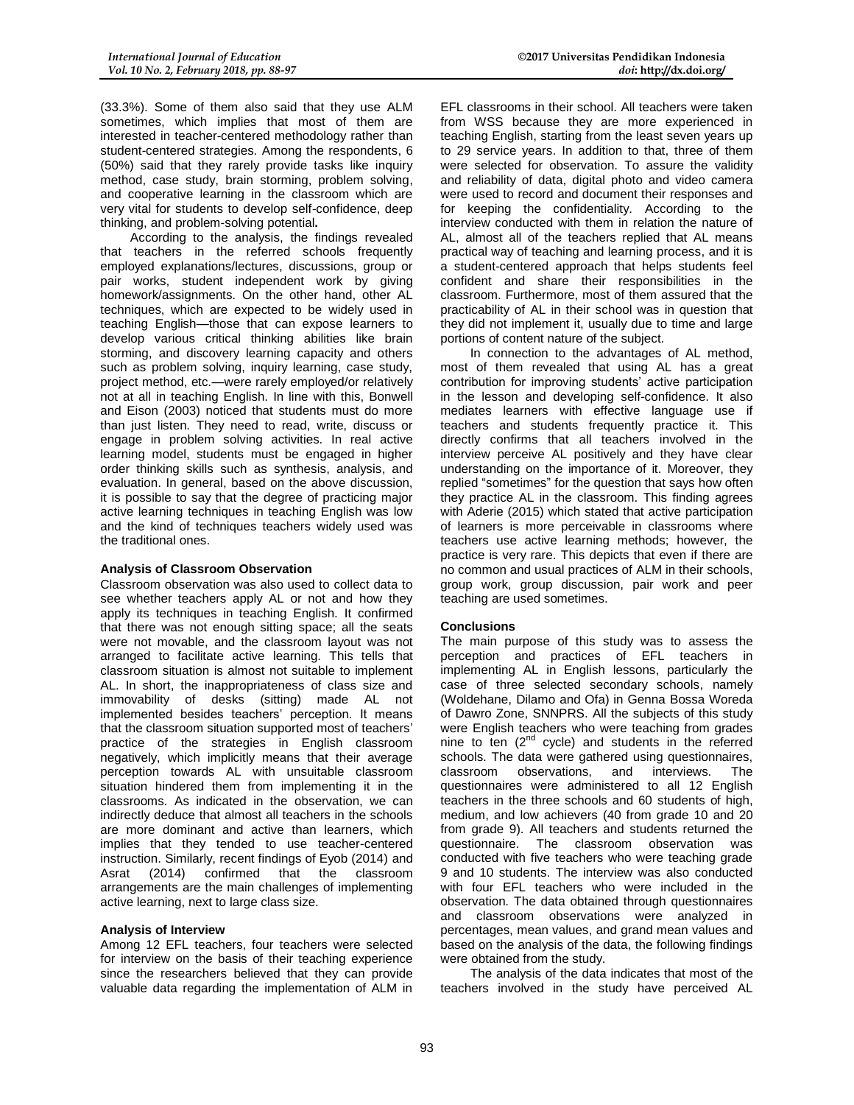(33.3%). Some of them also said that they use ALM sometimes, which implies that most of them are interested in teacher-centered methodology rather than student-centered strategies. Among the respondents, 6 (50%) said that they rarely provide tasks like inquiry method, case study, brain storming, problem solving, and cooperative learning in the classroom which are very vital for students to develop self-confidence, deep thinking, and problem-solving potential**.**

According to the analysis, the findings revealed that teachers in the referred schools frequently employed explanations/lectures, discussions, group or pair works, student independent work by giving homework/assignments. On the other hand, other AL techniques, which are expected to be widely used in teaching English—those that can expose learners to develop various critical thinking abilities like brain storming, and discovery learning capacity and others such as problem solving, inquiry learning, case study, project method, etc.—were rarely employed/or relatively not at all in teaching English. In line with this, Bonwell and Eison (2003) noticed that students must do more than just listen. They need to read, write, discuss or engage in problem solving activities. In real active learning model, students must be engaged in higher order thinking skills such as synthesis, analysis, and evaluation. In general, based on the above discussion, it is possible to say that the degree of practicing major active learning techniques in teaching English was low and the kind of techniques teachers widely used was the traditional ones.

#### **Analysis of Classroom Observation**

Classroom observation was also used to collect data to see whether teachers apply AL or not and how they apply its techniques in teaching English. It confirmed that there was not enough sitting space; all the seats were not movable, and the classroom layout was not arranged to facilitate active learning. This tells that classroom situation is almost not suitable to implement AL. In short, the inappropriateness of class size and immovability of desks (sitting) made AL not implemented besides teachers' perception. It means that the classroom situation supported most of teachers' practice of the strategies in English classroom negatively, which implicitly means that their average perception towards AL with unsuitable classroom situation hindered them from implementing it in the classrooms. As indicated in the observation, we can indirectly deduce that almost all teachers in the schools are more dominant and active than learners, which implies that they tended to use teacher-centered instruction. Similarly, recent findings of Eyob (2014) and<br>Asrat (2014) confirmed that the classroom Asrat (2014) confirmed that the classroom arrangements are the main challenges of implementing active learning, next to large class size.

#### **Analysis of Interview**

Among 12 EFL teachers, four teachers were selected for interview on the basis of their teaching experience since the researchers believed that they can provide valuable data regarding the implementation of ALM in

EFL classrooms in their school. All teachers were taken from WSS because they are more experienced in teaching English, starting from the least seven years up to 29 service years. In addition to that, three of them were selected for observation. To assure the validity and reliability of data, digital photo and video camera were used to record and document their responses and for keeping the confidentiality. According to the interview conducted with them in relation the nature of AL, almost all of the teachers replied that AL means practical way of teaching and learning process, and it is a student-centered approach that helps students feel confident and share their responsibilities in the classroom. Furthermore, most of them assured that the practicability of AL in their school was in question that they did not implement it, usually due to time and large portions of content nature of the subject.

In connection to the advantages of AL method, most of them revealed that using AL has a great contribution for improving students' active participation in the lesson and developing self-confidence. It also mediates learners with effective language use if teachers and students frequently practice it. This directly confirms that all teachers involved in the interview perceive AL positively and they have clear understanding on the importance of it. Moreover, they replied "sometimes" for the question that says how often they practice AL in the classroom. This finding agrees with Aderie (2015) which stated that active participation of learners is more perceivable in classrooms where teachers use active learning methods; however, the practice is very rare. This depicts that even if there are no common and usual practices of ALM in their schools, group work, group discussion, pair work and peer teaching are used sometimes.

#### **Conclusions**

The main purpose of this study was to assess the perception and practices of EFL teachers in implementing AL in English lessons, particularly the case of three selected secondary schools, namely (Woldehane, Dilamo and Ofa) in Genna Bossa Woreda of Dawro Zone, SNNPRS. All the subjects of this study were English teachers who were teaching from grades nine to ten  $(2^{nd}$  cycle) and students in the referred schools. The data were gathered using questionnaires, classroom observations, and interviews. The questionnaires were administered to all 12 English teachers in the three schools and 60 students of high, medium, and low achievers (40 from grade 10 and 20 from grade 9). All teachers and students returned the questionnaire. The classroom observation was conducted with five teachers who were teaching grade 9 and 10 students. The interview was also conducted with four EFL teachers who were included in the observation. The data obtained through questionnaires and classroom observations were analyzed in percentages, mean values, and grand mean values and based on the analysis of the data, the following findings were obtained from the study.

The analysis of the data indicates that most of the teachers involved in the study have perceived AL